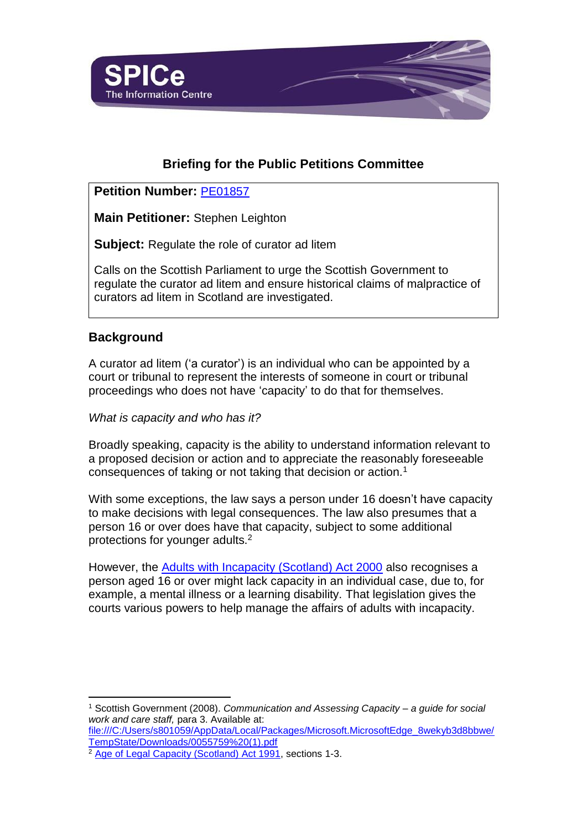

# **Briefing for the Public Petitions Committee**

# **Petition Number:** [PE01857](https://www.parliament.scot/GettingInvolved/Petitions/curatorregulation)

**Main Petitioner:** Stephen Leighton

**Subject:** Regulate the role of curator ad litem

Calls on the Scottish Parliament to urge the Scottish Government to regulate the curator ad litem and ensure historical claims of malpractice of curators ad litem in Scotland are investigated.

# **Background**

l

A curator ad litem ('a curator') is an individual who can be appointed by a court or tribunal to represent the interests of someone in court or tribunal proceedings who does not have 'capacity' to do that for themselves.

*What is capacity and who has it?*

Broadly speaking, capacity is the ability to understand information relevant to a proposed decision or action and to appreciate the reasonably foreseeable consequences of taking or not taking that decision or action.<sup>1</sup>

With some exceptions, the law says a person under 16 doesn't have capacity to make decisions with legal consequences. The law also presumes that a person 16 or over does have that capacity, subject to some additional protections for younger adults.<sup>2</sup>

However, the [Adults with Incapacity \(Scotland\) Act 2000](https://www.legislation.gov.uk/asp/2000/4/contents) also recognises a person aged 16 or over might lack capacity in an individual case, due to, for example, a mental illness or a learning disability. That legislation gives the courts various powers to help manage the affairs of adults with incapacity.

<sup>1</sup> Scottish Government (2008). *Communication and Assessing Capacity – a guide for social work and care staff,* para 3. Available at:

[file:///C:/Users/s801059/AppData/Local/Packages/Microsoft.MicrosoftEdge\\_8wekyb3d8bbwe/](file:///C:/Users/s801059/AppData/Local/Packages/Microsoft.MicrosoftEdge_8wekyb3d8bbwe/TempState/Downloads/0055759%20(1).pdf) [TempState/Downloads/0055759%20\(1\).pdf](file:///C:/Users/s801059/AppData/Local/Packages/Microsoft.MicrosoftEdge_8wekyb3d8bbwe/TempState/Downloads/0055759%20(1).pdf)

<sup>2</sup> [Age of Legal Capacity \(Scotland\) Act 1991,](https://www.legislation.gov.uk/ukpga/1991/50/contents) sections 1-3.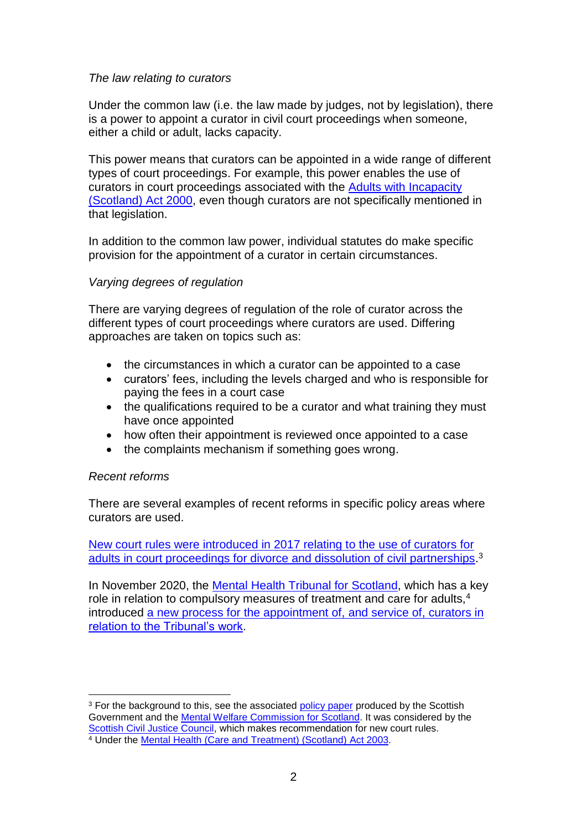### *The law relating to curators*

Under the common law (i.e. the law made by judges, not by legislation), there is a power to appoint a curator in civil court proceedings when someone, either a child or adult, lacks capacity.

This power means that curators can be appointed in a wide range of different types of court proceedings. For example, this power enables the use of curators in court proceedings associated with the [Adults with Incapacity](https://www.legislation.gov.uk/asp/2000/4/contents)  [\(Scotland\) Act 2000,](https://www.legislation.gov.uk/asp/2000/4/contents) even though curators are not specifically mentioned in that legislation.

In addition to the common law power, individual statutes do make specific provision for the appointment of a curator in certain circumstances.

### *Varying degrees of regulation*

There are varying degrees of regulation of the role of curator across the different types of court proceedings where curators are used. Differing approaches are taken on topics such as:

- the circumstances in which a curator can be appointed to a case
- curators' fees, including the levels charged and who is responsible for paying the fees in a court case
- the qualifications required to be a curator and what training they must have once appointed
- how often their appointment is reviewed once appointed to a case
- the complaints mechanism if something goes wrong.

#### *Recent reforms*

There are several examples of recent reforms in specific policy areas where curators are used.

[New court rules were introduced in 2017 relating to the use of curators](https://www.scottishciviljusticecouncil.gov.uk/news/2017/05/10/curators-ad-litem-appointments-in-family-actions) for adults [in court proceedings for divorce and dissolution of civil partnerships.](https://www.scottishciviljusticecouncil.gov.uk/news/2017/05/10/curators-ad-litem-appointments-in-family-actions)<sup>3</sup>

In November 2020, the [Mental Health Tribunal for Scotland,](https://www.mhtscotland.gov.uk/mhts/Home/Welcome_to_the_Mental_Health_Tribunal) which has a key role in relation to compulsory measures of treatment and care for adults.<sup>4</sup> introduced [a new process for the appointment of,](https://www.mhtscotland.gov.uk/mhts/Applications_and_Appeals_to_the_Tribunal/Curators_ad_litem) and service of, curators in [relation to the Tribunal's work.](https://www.mhtscotland.gov.uk/mhts/Applications_and_Appeals_to_the_Tribunal/Curators_ad_litem)

l <sup>3</sup> For the background to this, see the associated [policy](https://www.scottishciviljusticecouncil.gov.uk/docs/librariesprovider4/flc-meeting-files/flc-10-october-2016-meeting/paper-4-1a-curators-ad-litem---sg-mwc-paper.pdf?sfvrsn=2) paper produced by the Scottish Government and the [Mental Welfare Commission for Scotland.](https://www.mwcscot.org.uk/) It was considered by the [Scottish Civil Justice Council,](https://www.scottishciviljusticecouncil.gov.uk/) which makes recommendation for new court rules. <sup>4</sup> Under the Mental Health [\(Care and Treatment\) \(Scotland\) Act 2003.](https://www.legislation.gov.uk/asp/2003/13/contents)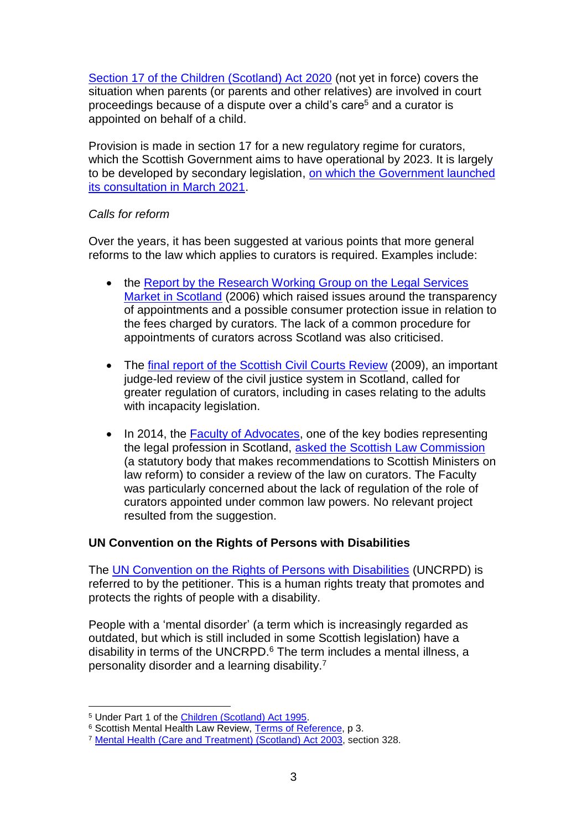[Section 17 of the Children \(Scotland\) Act 2020](https://www.legislation.gov.uk/asp/2020/16/section/17/enacted) (not yet in force) covers the situation when parents (or parents and other relatives) are involved in court proceedings because of a dispute over a child's care<sup>5</sup> and a curator is appointed on behalf of a child.

Provision is made in section 17 for a new regulatory regime for curators, which the Scottish Government aims to have operational by 2023. It is largely to be developed by secondary legislation, [on which the Government launched](https://consult.gov.scot/justice/registers-of-child-welfare-reporters/)  [its consultation in March 2021.](https://consult.gov.scot/justice/registers-of-child-welfare-reporters/)

#### *Calls for reform*

Over the years, it has been suggested at various points that more general reforms to the law which applies to curators is required. Examples include:

- the Report by the Research Working Group on the Legal Services [Market in Scotland](https://www.webarchive.org.uk/wayback/archive/20150219173807/http:/www.gov.scot/Publications/2006/04/12093822/0) (2006) which raised issues around the transparency of appointments and a possible consumer protection issue in relation to the fees charged by curators. The lack of a common procedure for appointments of curators across Scotland was also criticised.
- The [final report of the Scottish Civil Courts Review](https://www.scotcourts.gov.uk/docs/default-source/civil-courts-reform/report-of-the-scottish-civil-courts-review-vol-1-chapt-1---9.pdf?sfvrsn=4) (2009), an important judge-led review of the civil justice system in Scotland, called for greater regulation of curators, including in cases relating to the adults with incapacity legislation.
- In 2014, the [Faculty of Advocates,](http://www.advocates.org.uk/) one of the key bodies representing the legal profession in Scotland, [asked the Scottish Law Commission](http://www.scotlawcom.gov.uk/files/4214/3160/9791/Faculty_of_Advocates.pdf) (a statutory body that makes recommendations to Scottish Ministers on law reform) to consider a review of the law on curators. The Faculty was particularly concerned about the lack of regulation of the role of curators appointed under common law powers. No relevant project resulted from the suggestion.

### **UN Convention on the Rights of Persons with Disabilities**

The [UN Convention on the Rights of Persons with Disabilities](https://www.un.org/development/desa/disabilities/convention-on-the-rights-of-persons-with-disabilities.html) (UNCRPD) is referred to by the petitioner. This is a human rights treaty that promotes and protects the rights of people with a disability.

People with a 'mental disorder' (a term which is increasingly regarded as outdated, but which is still included in some Scottish legislation) have a disability in terms of the UNCRPD.<sup>6</sup> The term includes a mental illness, a personality disorder and a learning disability.<sup>7</sup>

l

<sup>5</sup> Under Part 1 of the [Children \(Scotland\) Act 1995.](https://www.legislation.gov.uk/ukpga/1995/36/contents)

<sup>6</sup> Scottish Mental Health Law Review, [Terms of Reference,](https://cms.mentalhealthlawreview.scot/wp-content/uploads/2020/01/Terms-of-Reference-1.pdf) p 3.

<sup>7</sup> Mental Health [\(Care and Treatment\) \(Scotland\) Act 2003,](https://www.legislation.gov.uk/asp/2003/13/contents) section 328.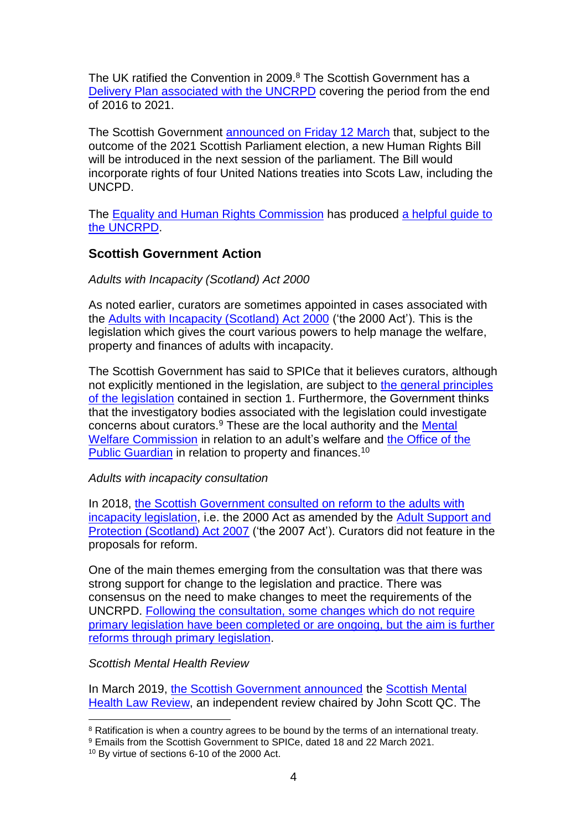The UK ratified the Convention in 2009.<sup>8</sup> The Scottish Government has a [Delivery Plan associated with the UNCRPD](https://www.gov.scot/publications/fairer-scotland-disabled-people-delivery-plan-2021-united-nations-convention/) covering the period from the end of 2016 to 2021.

The Scottish Government [announced on Friday 12 March](https://www.gov.scot/news/new-human-rights-bill/) that, subject to the outcome of the 2021 Scottish Parliament election, a new Human Rights Bill will be introduced in the next session of the parliament. The Bill would incorporate rights of four United Nations treaties into Scots Law, including the UNCPD.

The Equality [and Human Rights Commission](https://www.equalityhumanrights.com/en) has produced a helpful quide to [the UNCRPD.](https://www.equalityhumanrights.com/sites/default/files/uncrpdguide_0.pdf)

## **Scottish Government Action**

#### *Adults with Incapacity (Scotland) Act 2000*

As noted earlier, curators are sometimes appointed in cases associated with the [Adults with Incapacity \(Scotland\) Act 2000](https://www.legislation.gov.uk/asp/2000/4/contents) ('the 2000 Act'). This is the legislation which gives the court various powers to help manage the welfare, property and finances of adults with incapacity.

The Scottish Government has said to SPICe that it believes curators, although not explicitly mentioned in the legislation, are subject to [the general principles](https://www.gov.scot/publications/adults-with-incapacity-act-principles/#:~:text=Adults with Incapacity (Scotland) Act 2000: principles. The,suitable for meeting the needs of the individual.) [of the legislation](https://www.gov.scot/publications/adults-with-incapacity-act-principles/#:~:text=Adults with Incapacity (Scotland) Act 2000: principles. The,suitable for meeting the needs of the individual.) contained in section 1. Furthermore, the Government thinks that the investigatory bodies associated with the legislation could investigate concerns about curators.<sup>9</sup> These are the local authority and the [Mental](https://www.mwcscot.org.uk/)  [Welfare Commission](https://www.mwcscot.org.uk/) in relation to an adult's welfare and [the Office of the](http://www.publicguardian-scotland.gov.uk/)  [Public Guardian](http://www.publicguardian-scotland.gov.uk/) in relation to property and finances.<sup>10</sup>

#### *Adults with incapacity consultation*

In 2018, [the Scottish Government consulted on reform to the adults with](https://www.gov.scot/publications/adults-incapacity-scotland-act-2000-proposals-reform/pages/2/)  [incapacity legislation,](https://www.gov.scot/publications/adults-incapacity-scotland-act-2000-proposals-reform/pages/2/) i.e. the 2000 Act as amended by the [Adult Support and](https://www.legislation.gov.uk/asp/2007/10/contents)  [Protection \(Scotland\) Act 2007](https://www.legislation.gov.uk/asp/2007/10/contents) ('the 2007 Act'). Curators did not feature in the proposals for reform.

One of the main themes emerging from the consultation was that there was strong support for change to the legislation and practice. There was consensus on the need to make changes to meet the requirements of the UNCRPD. [Following the consultation, some changes which do not require](https://www.gov.scot/policies/social-care/adults-with-incapacity/#:~:text=The Adults with Incapacity (Scotland) Act 2000 defines,a mental disorder or an inability to communicate.)  [primary legislation have been completed or are ongoing, but](https://www.gov.scot/policies/social-care/adults-with-incapacity/#:~:text=The Adults with Incapacity (Scotland) Act 2000 defines,a mental disorder or an inability to communicate.) the aim is further reforms [through primary legislation.](https://www.gov.scot/policies/social-care/adults-with-incapacity/#:~:text=The Adults with Incapacity (Scotland) Act 2000 defines,a mental disorder or an inability to communicate.)

*Scottish Mental Health Review*

In March 2019, [the Scottish Government announced](https://www.gov.scot/news/review-of-the-mental-health-act/) the [Scottish Mental](https://mentalhealthlawreview.scot/)  [Health Law Review,](https://mentalhealthlawreview.scot/) an independent review chaired by John Scott QC. The

l  $8$  Ratification is when a country agrees to be bound by the terms of an international treaty.

<sup>9</sup> Emails from the Scottish Government to SPICe, dated 18 and 22 March 2021.

<sup>10</sup> By virtue of sections 6-10 of the 2000 Act.